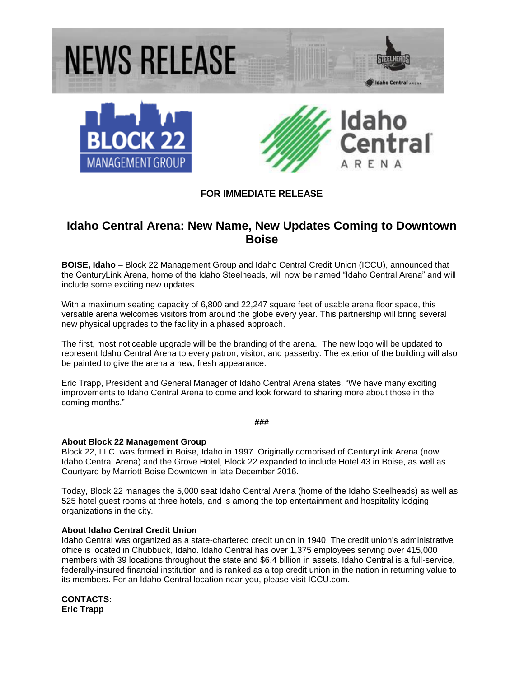

## **FOR IMMEDIATE RELEASE**

# **Idaho Central Arena: New Name, New Updates Coming to Downtown Boise**

**BOISE, Idaho** – Block 22 Management Group and Idaho Central Credit Union (ICCU), announced that the CenturyLink Arena, home of the Idaho Steelheads, will now be named "Idaho Central Arena" and will include some exciting new updates.

With a maximum seating capacity of 6,800 and 22,247 square feet of usable arena floor space, this versatile arena welcomes visitors from around the globe every year. This partnership will bring several new physical upgrades to the facility in a phased approach.

The first, most noticeable upgrade will be the branding of the arena. The new logo will be updated to represent Idaho Central Arena to every patron, visitor, and passerby. The exterior of the building will also be painted to give the arena a new, fresh appearance.

Eric Trapp, President and General Manager of Idaho Central Arena states, "We have many exciting improvements to Idaho Central Arena to come and look forward to sharing more about those in the coming months."

**###**

#### **About Block 22 Management Group**

Block 22, LLC. was formed in Boise, Idaho in 1997. Originally comprised of CenturyLink Arena (now Idaho Central Arena) and the Grove Hotel, Block 22 expanded to include Hotel 43 in Boise, as well as Courtyard by Marriott Boise Downtown in late December 2016.

Today, Block 22 manages the 5,000 seat Idaho Central Arena (home of the Idaho Steelheads) as well as 525 hotel guest rooms at three hotels, and is among the top entertainment and hospitality lodging organizations in the city.

#### **About Idaho Central Credit Union**

Idaho Central was organized as a state-chartered credit union in 1940. The credit union's administrative office is located in Chubbuck, Idaho. Idaho Central has over 1,375 employees serving over 415,000 members with 39 locations throughout the state and \$6.4 billion in assets. Idaho Central is a full-service, federally-insured financial institution and is ranked as a top credit union in the nation in returning value to its members. For an Idaho Central location near you, please visit ICCU.com.

**CONTACTS: Eric Trapp**